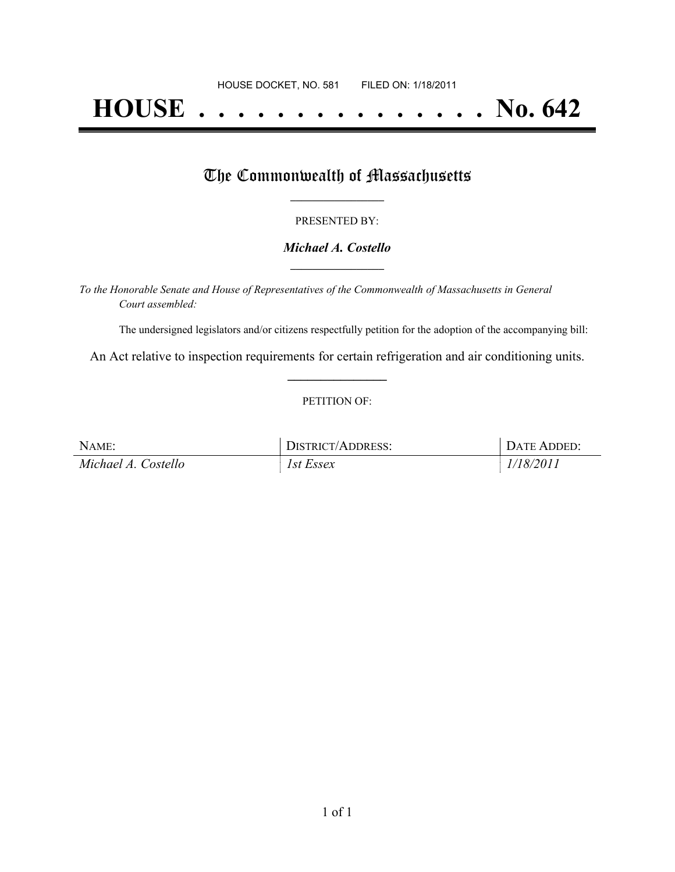# **HOUSE . . . . . . . . . . . . . . . No. 642**

## The Commonwealth of Massachusetts

#### PRESENTED BY:

#### *Michael A. Costello* **\_\_\_\_\_\_\_\_\_\_\_\_\_\_\_\_\_**

*To the Honorable Senate and House of Representatives of the Commonwealth of Massachusetts in General Court assembled:*

The undersigned legislators and/or citizens respectfully petition for the adoption of the accompanying bill:

An Act relative to inspection requirements for certain refrigeration and air conditioning units. **\_\_\_\_\_\_\_\_\_\_\_\_\_\_\_**

#### PETITION OF:

| NAME:               | DISTRICT/ADDRESS: | DATE ADDED: |
|---------------------|-------------------|-------------|
| Michael A. Costello | 1st Essex         | 1/18/2011   |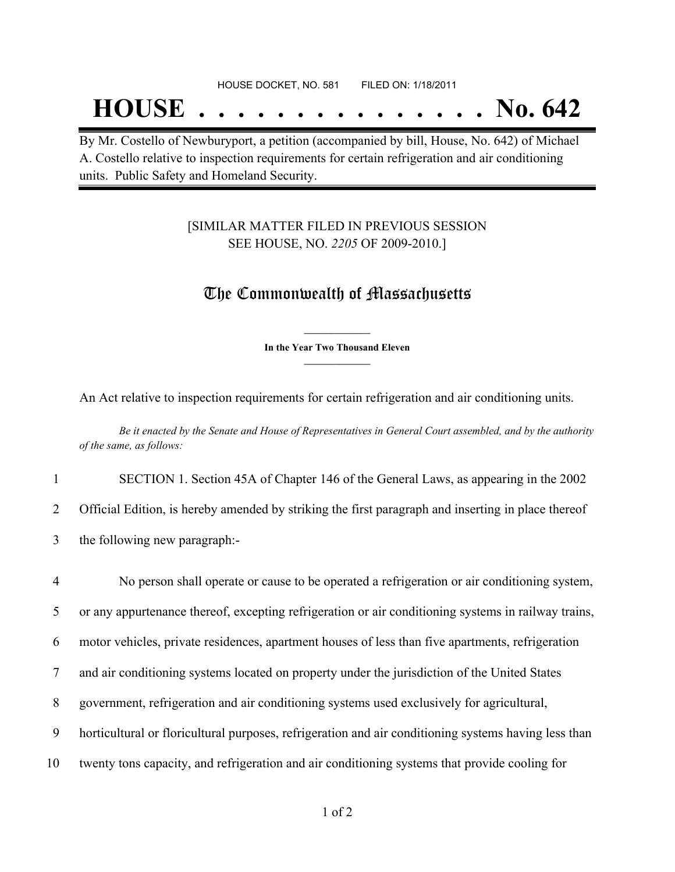## **HOUSE . . . . . . . . . . . . . . . No. 642**

By Mr. Costello of Newburyport, a petition (accompanied by bill, House, No. 642) of Michael A. Costello relative to inspection requirements for certain refrigeration and air conditioning units. Public Safety and Homeland Security.

### [SIMILAR MATTER FILED IN PREVIOUS SESSION SEE HOUSE, NO. *2205* OF 2009-2010.]

## The Commonwealth of Massachusetts

**\_\_\_\_\_\_\_\_\_\_\_\_\_\_\_ In the Year Two Thousand Eleven \_\_\_\_\_\_\_\_\_\_\_\_\_\_\_**

An Act relative to inspection requirements for certain refrigeration and air conditioning units.

Be it enacted by the Senate and House of Representatives in General Court assembled, and by the authority *of the same, as follows:*

1 SECTION 1. Section 45A of Chapter 146 of the General Laws, as appearing in the 2002

2 Official Edition, is hereby amended by striking the first paragraph and inserting in place thereof

3 the following new paragraph:-

 No person shall operate or cause to be operated a refrigeration or air conditioning system, or any appurtenance thereof, excepting refrigeration or air conditioning systems in railway trains, motor vehicles, private residences, apartment houses of less than five apartments, refrigeration and air conditioning systems located on property under the jurisdiction of the United States government, refrigeration and air conditioning systems used exclusively for agricultural, horticultural or floricultural purposes, refrigeration and air conditioning systems having less than twenty tons capacity, and refrigeration and air conditioning systems that provide cooling for